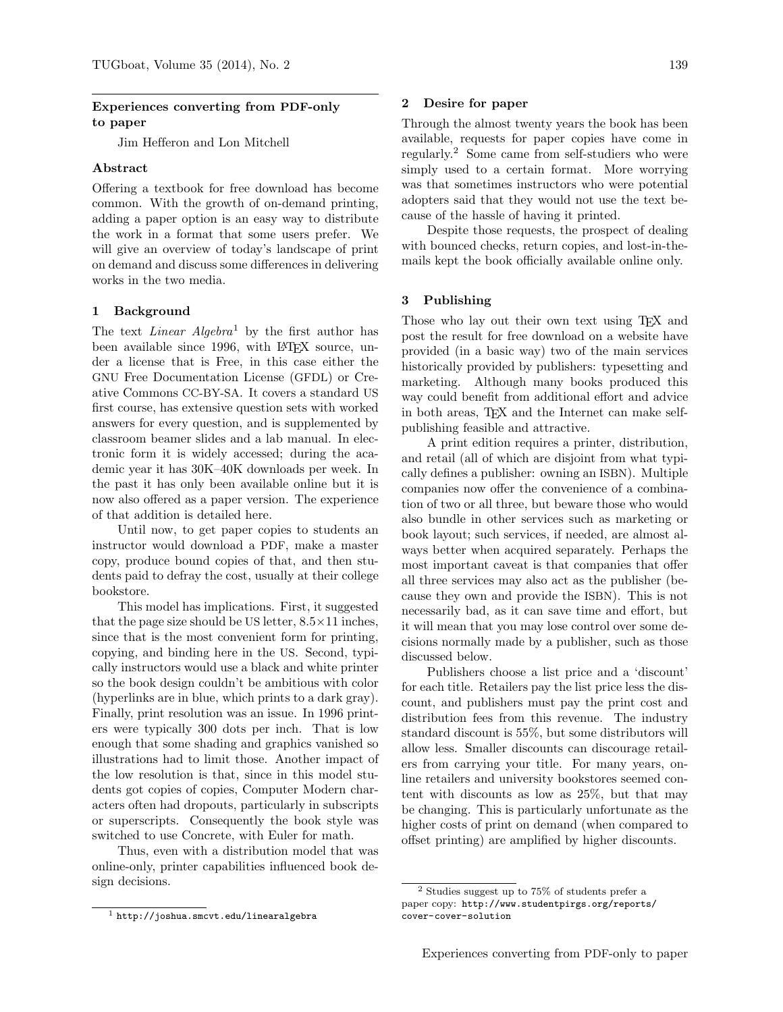# Experiences converting from PDF-only to paper

Jim Hefferon and Lon Mitchell

# Abstract

Offering a textbook for free download has become common. With the growth of on-demand printing, adding a paper option is an easy way to distribute the work in a format that some users prefer. We will give an overview of today's landscape of print on demand and discuss some differences in delivering works in the two media.

### 1 Background

The text *Linear Algebra*<sup>1</sup> by the first author has been available since 1996, with LAT<sub>EX</sub> source, under a license that is Free, in this case either the GNU Free Documentation License (GFDL) or Creative Commons CC-BY-SA. It covers a standard US first course, has extensive question sets with worked answers for every question, and is supplemented by classroom beamer slides and a lab manual. In electronic form it is widely accessed; during the academic year it has 30K–40K downloads per week. In the past it has only been available online but it is now also offered as a paper version. The experience of that addition is detailed here.

Until now, to get paper copies to students an instructor would download a PDF, make a master copy, produce bound copies of that, and then students paid to defray the cost, usually at their college bookstore.

This model has implications. First, it suggested that the page size should be US letter,  $8.5 \times 11$  inches, since that is the most convenient form for printing, copying, and binding here in the US. Second, typically instructors would use a black and white printer so the book design couldn't be ambitious with color (hyperlinks are in blue, which prints to a dark gray). Finally, print resolution was an issue. In 1996 printers were typically 300 dots per inch. That is low enough that some shading and graphics vanished so illustrations had to limit those. Another impact of the low resolution is that, since in this model students got copies of copies, Computer Modern characters often had dropouts, particularly in subscripts or superscripts. Consequently the book style was switched to use Concrete, with Euler for math.

Thus, even with a distribution model that was online-only, printer capabilities influenced book design decisions.

### 2 Desire for paper

Through the almost twenty years the book has been available, requests for paper copies have come in regularly.<sup>2</sup> Some came from self-studiers who were simply used to a certain format. More worrying was that sometimes instructors who were potential adopters said that they would not use the text because of the hassle of having it printed.

Despite those requests, the prospect of dealing with bounced checks, return copies, and lost-in-themails kept the book officially available online only.

# 3 Publishing

Those who lay out their own text using TEX and post the result for free download on a website have provided (in a basic way) two of the main services historically provided by publishers: typesetting and marketing. Although many books produced this way could benefit from additional effort and advice in both areas, TEX and the Internet can make selfpublishing feasible and attractive.

A print edition requires a printer, distribution, and retail (all of which are disjoint from what typically defines a publisher: owning an ISBN). Multiple companies now offer the convenience of a combination of two or all three, but beware those who would also bundle in other services such as marketing or book layout; such services, if needed, are almost always better when acquired separately. Perhaps the most important caveat is that companies that offer all three services may also act as the publisher (because they own and provide the ISBN). This is not necessarily bad, as it can save time and effort, but it will mean that you may lose control over some decisions normally made by a publisher, such as those discussed below.

Publishers choose a list price and a 'discount' for each title. Retailers pay the list price less the discount, and publishers must pay the print cost and distribution fees from this revenue. The industry standard discount is 55%, but some distributors will allow less. Smaller discounts can discourage retailers from carrying your title. For many years, online retailers and university bookstores seemed content with discounts as low as 25%, but that may be changing. This is particularly unfortunate as the higher costs of print on demand (when compared to offset printing) are amplified by higher discounts.

 $<sup>1</sup>$  http://joshua.smcvt.edu/linearalgebra</sup>

<sup>2</sup> Studies suggest up to 75% of students prefer a paper copy: http://www.studentpirgs.org/reports/ cover-cover-solution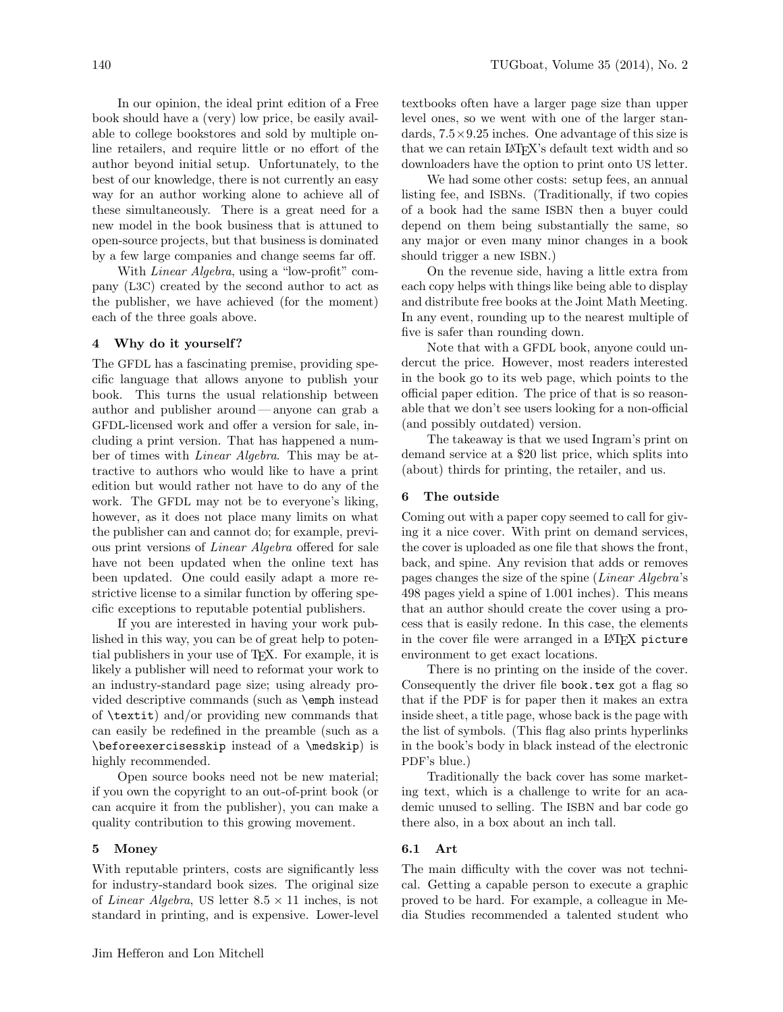In our opinion, the ideal print edition of a Free book should have a (very) low price, be easily available to college bookstores and sold by multiple online retailers, and require little or no effort of the author beyond initial setup. Unfortunately, to the best of our knowledge, there is not currently an easy way for an author working alone to achieve all of these simultaneously. There is a great need for a new model in the book business that is attuned to open-source projects, but that business is dominated by a few large companies and change seems far off.

With Linear Algebra, using a "low-profit" company (L3C) created by the second author to act as the publisher, we have achieved (for the moment) each of the three goals above.

#### 4 Why do it yourself ?

The GFDL has a fascinating premise, providing specific language that allows anyone to publish your book. This turns the usual relationship between author and publisher around— anyone can grab a GFDL-licensed work and offer a version for sale, including a print version. That has happened a number of times with Linear Algebra. This may be attractive to authors who would like to have a print edition but would rather not have to do any of the work. The GFDL may not be to everyone's liking, however, as it does not place many limits on what the publisher can and cannot do; for example, previous print versions of Linear Algebra offered for sale have not been updated when the online text has been updated. One could easily adapt a more restrictive license to a similar function by offering specific exceptions to reputable potential publishers.

If you are interested in having your work published in this way, you can be of great help to potential publishers in your use of TEX. For example, it is likely a publisher will need to reformat your work to an industry-standard page size; using already provided descriptive commands (such as \emph instead of \textit) and/or providing new commands that can easily be redefined in the preamble (such as a \beforeexercisesskip instead of a \medskip) is highly recommended.

Open source books need not be new material; if you own the copyright to an out-of-print book (or can acquire it from the publisher), you can make a quality contribution to this growing movement.

#### 5 Money

With reputable printers, costs are significantly less for industry-standard book sizes. The original size of *Linear Algebra*, US letter  $8.5 \times 11$  inches, is not standard in printing, and is expensive. Lower-level textbooks often have a larger page size than upper level ones, so we went with one of the larger standards,  $7.5 \times 9.25$  inches. One advantage of this size is that we can retain LAT<sub>FX</sub>'s default text width and so downloaders have the option to print onto US letter.

We had some other costs: setup fees, an annual listing fee, and ISBNs. (Traditionally, if two copies of a book had the same ISBN then a buyer could depend on them being substantially the same, so any major or even many minor changes in a book should trigger a new ISBN.)

On the revenue side, having a little extra from each copy helps with things like being able to display and distribute free books at the Joint Math Meeting. In any event, rounding up to the nearest multiple of five is safer than rounding down.

Note that with a GFDL book, anyone could undercut the price. However, most readers interested in the book go to its web page, which points to the official paper edition. The price of that is so reasonable that we don't see users looking for a non-official (and possibly outdated) version.

The takeaway is that we used Ingram's print on demand service at a \$20 list price, which splits into (about) thirds for printing, the retailer, and us.

#### 6 The outside

Coming out with a paper copy seemed to call for giving it a nice cover. With print on demand services, the cover is uploaded as one file that shows the front, back, and spine. Any revision that adds or removes pages changes the size of the spine (Linear Algebra's 498 pages yield a spine of 1.001 inches). This means that an author should create the cover using a process that is easily redone. In this case, the elements in the cover file were arranged in a LAT<sub>F</sub>X picture environment to get exact locations.

There is no printing on the inside of the cover. Consequently the driver file book.tex got a flag so that if the PDF is for paper then it makes an extra inside sheet, a title page, whose back is the page with the list of symbols. (This flag also prints hyperlinks in the book's body in black instead of the electronic PDF's blue.)

Traditionally the back cover has some marketing text, which is a challenge to write for an academic unused to selling. The ISBN and bar code go there also, in a box about an inch tall.

#### 6.1 Art

The main difficulty with the cover was not technical. Getting a capable person to execute a graphic proved to be hard. For example, a colleague in Media Studies recommended a talented student who